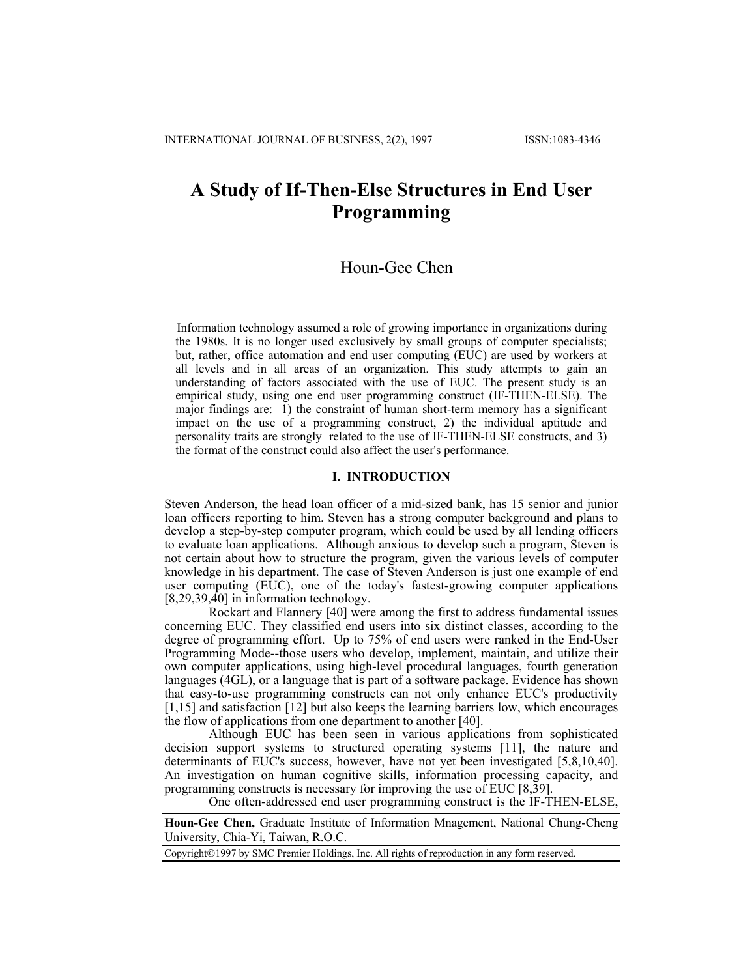# **A Study of If-Then-Else Structures in End User Programming**

## Houn-Gee Chen

Information technology assumed a role of growing importance in organizations during the 1980s. It is no longer used exclusively by small groups of computer specialists; but, rather, office automation and end user computing (EUC) are used by workers at all levels and in all areas of an organization. This study attempts to gain an understanding of factors associated with the use of EUC. The present study is an empirical study, using one end user programming construct (IF-THEN-ELSE). The major findings are: 1) the constraint of human short-term memory has a significant impact on the use of a programming construct, 2) the individual aptitude and personality traits are strongly related to the use of IF-THEN-ELSE constructs, and 3) the format of the construct could also affect the user's performance.

## **I. INTRODUCTION**

Steven Anderson, the head loan officer of a mid-sized bank, has 15 senior and junior loan officers reporting to him. Steven has a strong computer background and plans to develop a step-by-step computer program, which could be used by all lending officers to evaluate loan applications. Although anxious to develop such a program, Steven is not certain about how to structure the program, given the various levels of computer knowledge in his department. The case of Steven Anderson is just one example of end user computing  $(E\dot{U}C)$ , one of the today's fastest-growing computer applications [8,29,39,40] in information technology.

Rockart and Flannery [40] were among the first to address fundamental issues concerning EUC. They classified end users into six distinct classes, according to the degree of programming effort. Up to 75% of end users were ranked in the End-User Programming Mode--those users who develop, implement, maintain, and utilize their own computer applications, using high-level procedural languages, fourth generation languages (4GL), or a language that is part of a software package. Evidence has shown that easy-to-use programming constructs can not only enhance EUC's productivity [1,15] and satisfaction [12] but also keeps the learning barriers low, which encourages the flow of applications from one department to another [40].

Although EUC has been seen in various applications from sophisticated decision support systems to structured operating systems [11], the nature and determinants of EUC's success, however, have not yet been investigated [5,8,10,40]. An investigation on human cognitive skills, information processing capacity, and programming constructs is necessary for improving the use of EUC [8,39].

One often-addressed end user programming construct is the IF-THEN-ELSE,

**Houn-Gee Chen,** Graduate Institute of Information Mnagement, National Chung-Cheng University, Chia-Yi, Taiwan, R.O.C.

Copyright©1997 by SMC Premier Holdings, Inc. All rights of reproduction in any form reserved.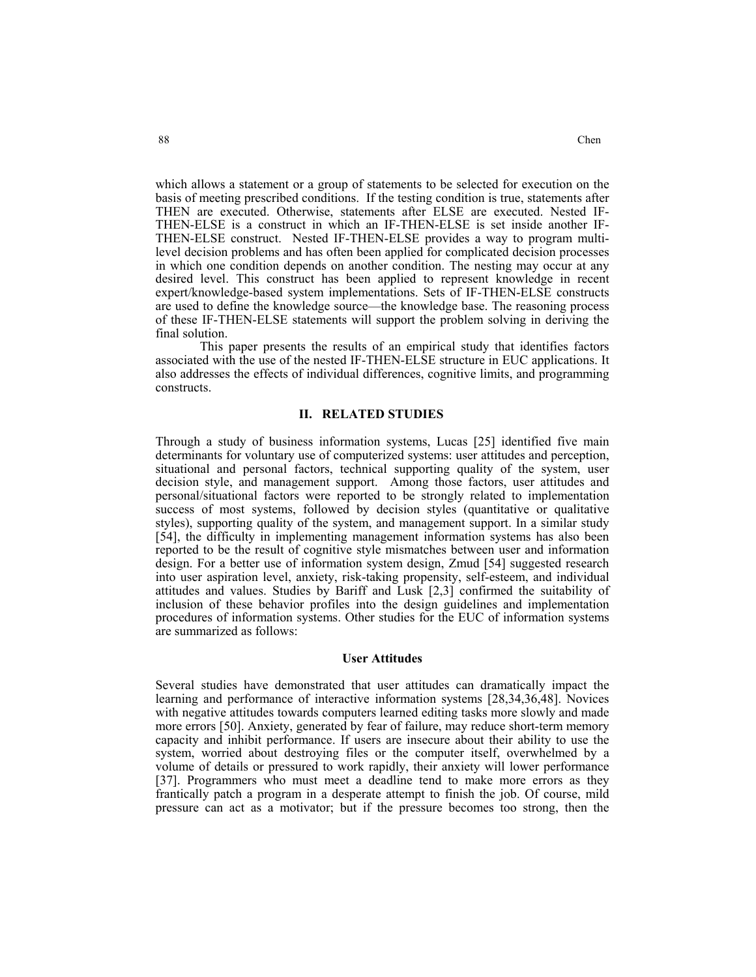which allows a statement or a group of statements to be selected for execution on the basis of meeting prescribed conditions. If the testing condition is true, statements after THEN are executed. Otherwise, statements after ELSE are executed. Nested IF-THEN-ELSE is a construct in which an IF-THEN-ELSE is set inside another IF-THEN-ELSE construct. Nested IF-THEN-ELSE provides a way to program multilevel decision problems and has often been applied for complicated decision processes in which one condition depends on another condition. The nesting may occur at any desired level. This construct has been applied to represent knowledge in recent expert/knowledge-based system implementations. Sets of IF-THEN-ELSE constructs are used to define the knowledge source—the knowledge base. The reasoning process of these IF-THEN-ELSE statements will support the problem solving in deriving the final solution.

 This paper presents the results of an empirical study that identifies factors associated with the use of the nested IF-THEN-ELSE structure in EUC applications. It also addresses the effects of individual differences, cognitive limits, and programming constructs.

#### **II. RELATED STUDIES**

Through a study of business information systems, Lucas [25] identified five main determinants for voluntary use of computerized systems: user attitudes and perception, situational and personal factors, technical supporting quality of the system, user decision style, and management support. Among those factors, user attitudes and personal/situational factors were reported to be strongly related to implementation success of most systems, followed by decision styles (quantitative or qualitative styles), supporting quality of the system, and management support. In a similar study [54], the difficulty in implementing management information systems has also been reported to be the result of cognitive style mismatches between user and information design. For a better use of information system design, Zmud [54] suggested research into user aspiration level, anxiety, risk-taking propensity, self-esteem, and individual attitudes and values. Studies by Bariff and Lusk [2,3] confirmed the suitability of inclusion of these behavior profiles into the design guidelines and implementation procedures of information systems. Other studies for the EUC of information systems are summarized as follows:

#### **User Attitudes**

Several studies have demonstrated that user attitudes can dramatically impact the learning and performance of interactive information systems [28,34,36,48]. Novices with negative attitudes towards computers learned editing tasks more slowly and made more errors [50]. Anxiety, generated by fear of failure, may reduce short-term memory capacity and inhibit performance. If users are insecure about their ability to use the system, worried about destroying files or the computer itself, overwhelmed by a volume of details or pressured to work rapidly, their anxiety will lower performance [37]. Programmers who must meet a deadline tend to make more errors as they frantically patch a program in a desperate attempt to finish the job. Of course, mild pressure can act as a motivator; but if the pressure becomes too strong, then the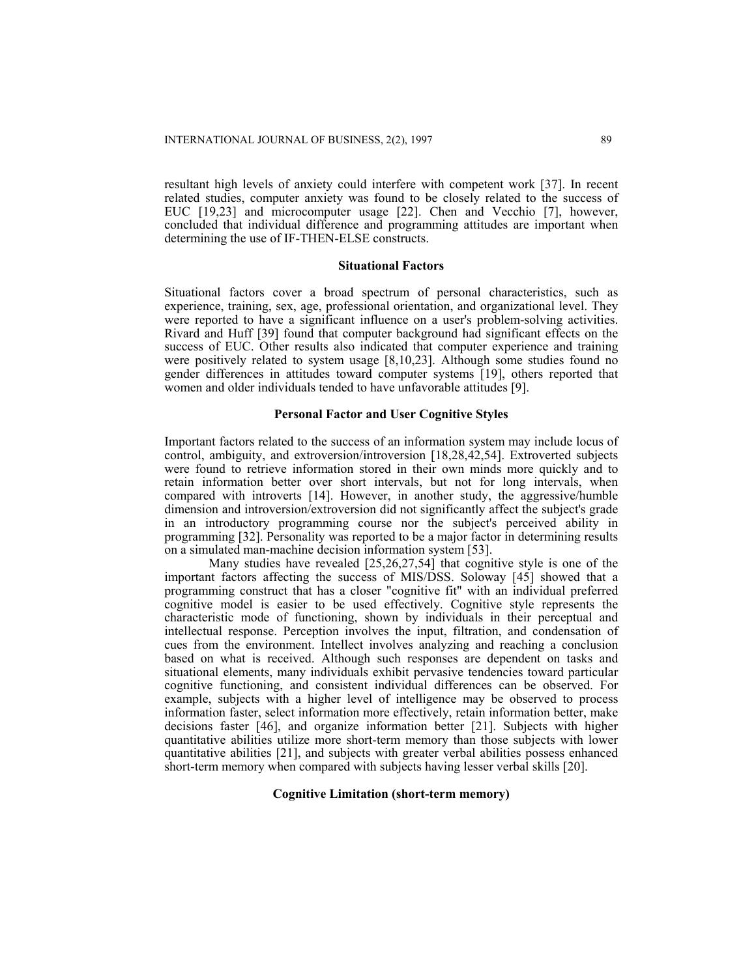resultant high levels of anxiety could interfere with competent work [37]. In recent related studies, computer anxiety was found to be closely related to the success of EUC [19,23] and microcomputer usage [22]. Chen and Vecchio [7], however, concluded that individual difference and programming attitudes are important when determining the use of IF-THEN-ELSE constructs.

#### **Situational Factors**

Situational factors cover a broad spectrum of personal characteristics, such as experience, training, sex, age, professional orientation, and organizational level. They were reported to have a significant influence on a user's problem-solving activities. Rivard and Huff [39] found that computer background had significant effects on the success of EUC. Other results also indicated that computer experience and training were positively related to system usage [8,10,23]. Although some studies found no gender differences in attitudes toward computer systems [19], others reported that women and older individuals tended to have unfavorable attitudes [9].

## **Personal Factor and User Cognitive Styles**

Important factors related to the success of an information system may include locus of control, ambiguity, and extroversion/introversion [18,28,42,54]. Extroverted subjects were found to retrieve information stored in their own minds more quickly and to retain information better over short intervals, but not for long intervals, when compared with introverts [14]. However, in another study, the aggressive/humble dimension and introversion/extroversion did not significantly affect the subject's grade in an introductory programming course nor the subject's perceived ability in programming [32]. Personality was reported to be a major factor in determining results on a simulated man-machine decision information system [53].

 Many studies have revealed [25,26,27,54] that cognitive style is one of the important factors affecting the success of MIS/DSS. Soloway [45] showed that a programming construct that has a closer "cognitive fit" with an individual preferred cognitive model is easier to be used effectively. Cognitive style represents the characteristic mode of functioning, shown by individuals in their perceptual and intellectual response. Perception involves the input, filtration, and condensation of cues from the environment. Intellect involves analyzing and reaching a conclusion based on what is received. Although such responses are dependent on tasks and situational elements, many individuals exhibit pervasive tendencies toward particular cognitive functioning, and consistent individual differences can be observed. For example, subjects with a higher level of intelligence may be observed to process information faster, select information more effectively, retain information better, make decisions faster [46], and organize information better [21]. Subjects with higher quantitative abilities utilize more short-term memory than those subjects with lower quantitative abilities [21], and subjects with greater verbal abilities possess enhanced short-term memory when compared with subjects having lesser verbal skills [20].

## **Cognitive Limitation (short-term memory)**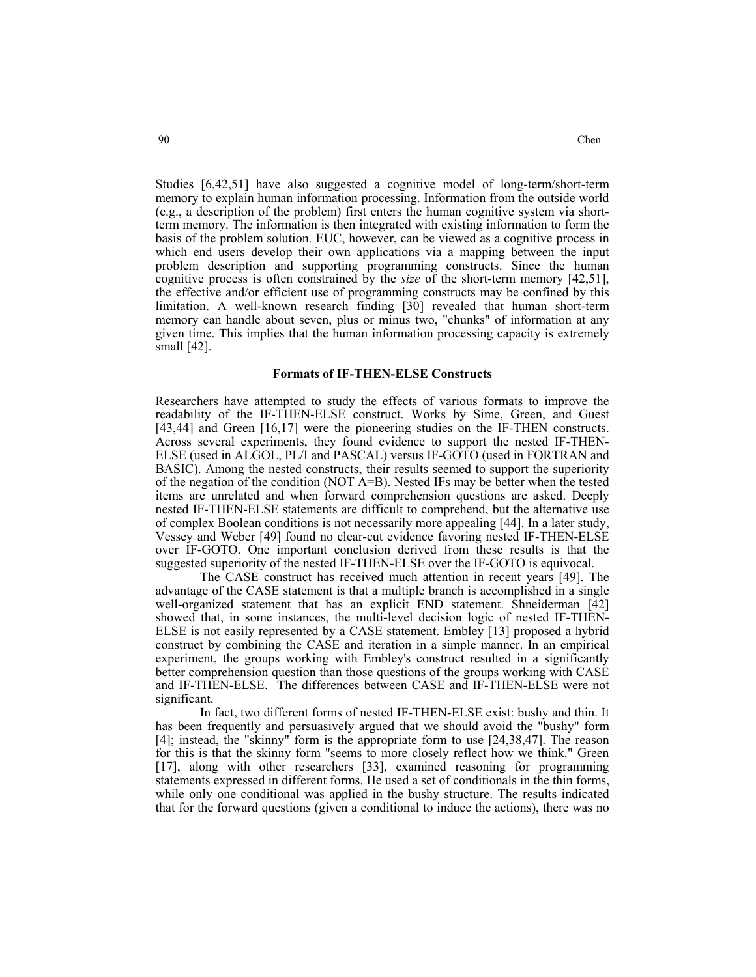Studies [6,42,51] have also suggested a cognitive model of long-term/short-term memory to explain human information processing. Information from the outside world (e.g., a description of the problem) first enters the human cognitive system via shortterm memory. The information is then integrated with existing information to form the basis of the problem solution. EUC, however, can be viewed as a cognitive process in which end users develop their own applications via a mapping between the input problem description and supporting programming constructs. Since the human cognitive process is often constrained by the *size* of the short-term memory [42,51], the effective and/or efficient use of programming constructs may be confined by this limitation. A well-known research finding [30] revealed that human short-term memory can handle about seven, plus or minus two, "chunks" of information at any given time. This implies that the human information processing capacity is extremely small [42].

#### **Formats of IF-THEN-ELSE Constructs**

Researchers have attempted to study the effects of various formats to improve the readability of the IF-THEN-ELSE construct. Works by Sime, Green, and Guest [43,44] and Green [16,17] were the pioneering studies on the IF-THEN constructs. Across several experiments, they found evidence to support the nested IF-THEN-ELSE (used in ALGOL, PL/I and PASCAL) versus IF-GOTO (used in FORTRAN and BASIC). Among the nested constructs, their results seemed to support the superiority of the negation of the condition (NOT A=B). Nested IFs may be better when the tested items are unrelated and when forward comprehension questions are asked. Deeply nested IF-THEN-ELSE statements are difficult to comprehend, but the alternative use of complex Boolean conditions is not necessarily more appealing [44]. In a later study, Vessey and Weber [49] found no clear-cut evidence favoring nested IF-THEN-ELSE over IF-GOTO. One important conclusion derived from these results is that the suggested superiority of the nested IF-THEN-ELSE over the IF-GOTO is equivocal.

 The CASE construct has received much attention in recent years [49]. The advantage of the CASE statement is that a multiple branch is accomplished in a single well-organized statement that has an explicit END statement. Shneiderman [42] showed that, in some instances, the multi-level decision logic of nested IF-THEN-ELSE is not easily represented by a CASE statement. Embley [13] proposed a hybrid construct by combining the CASE and iteration in a simple manner. In an empirical experiment, the groups working with Embley's construct resulted in a significantly better comprehension question than those questions of the groups working with CASE and IF-THEN-ELSE. The differences between CASE and IF-THEN-ELSE were not significant.

 In fact, two different forms of nested IF-THEN-ELSE exist: bushy and thin. It has been frequently and persuasively argued that we should avoid the "bushy" form [4]; instead, the "skinny" form is the appropriate form to use [24,38,47]. The reason for this is that the skinny form "seems to more closely reflect how we think." Green [17], along with other researchers [33], examined reasoning for programming statements expressed in different forms. He used a set of conditionals in the thin forms, while only one conditional was applied in the bushy structure. The results indicated that for the forward questions (given a conditional to induce the actions), there was no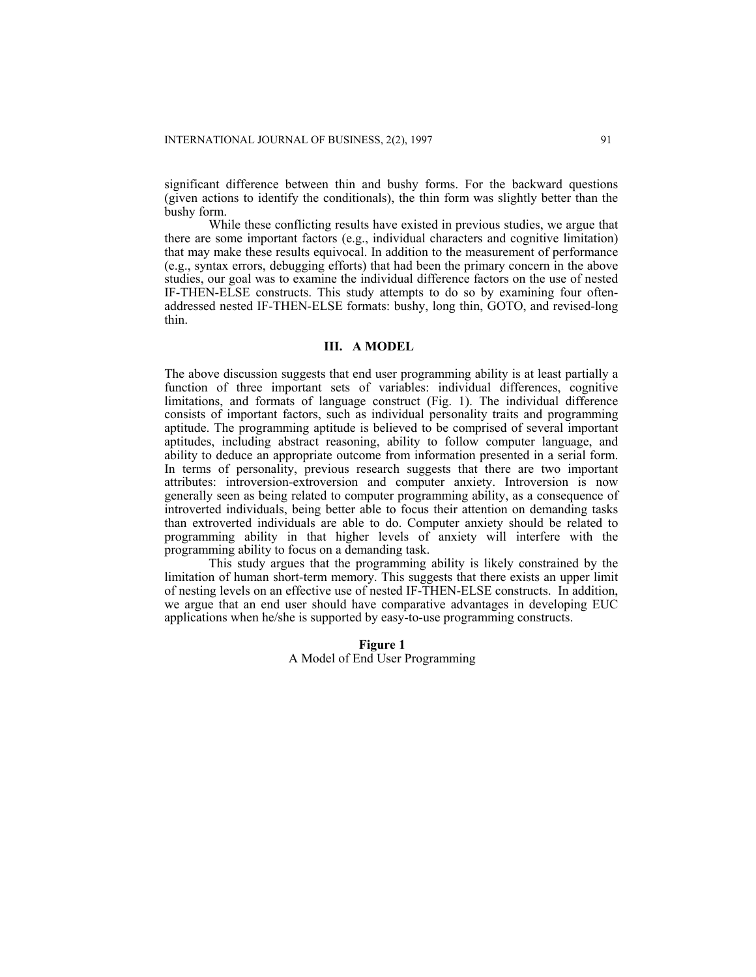significant difference between thin and bushy forms. For the backward questions (given actions to identify the conditionals), the thin form was slightly better than the bushy form.

 While these conflicting results have existed in previous studies, we argue that there are some important factors (e.g., individual characters and cognitive limitation) that may make these results equivocal. In addition to the measurement of performance (e.g., syntax errors, debugging efforts) that had been the primary concern in the above studies, our goal was to examine the individual difference factors on the use of nested IF-THEN-ELSE constructs. This study attempts to do so by examining four oftenaddressed nested IF-THEN-ELSE formats: bushy, long thin, GOTO, and revised-long thin.

## **III. A MODEL**

The above discussion suggests that end user programming ability is at least partially a function of three important sets of variables: individual differences, cognitive limitations, and formats of language construct (Fig. 1). The individual difference consists of important factors, such as individual personality traits and programming aptitude. The programming aptitude is believed to be comprised of several important aptitudes, including abstract reasoning, ability to follow computer language, and ability to deduce an appropriate outcome from information presented in a serial form. In terms of personality, previous research suggests that there are two important attributes: introversion-extroversion and computer anxiety. Introversion is now generally seen as being related to computer programming ability, as a consequence of introverted individuals, being better able to focus their attention on demanding tasks than extroverted individuals are able to do. Computer anxiety should be related to programming ability in that higher levels of anxiety will interfere with the programming ability to focus on a demanding task.

 This study argues that the programming ability is likely constrained by the limitation of human short-term memory. This suggests that there exists an upper limit of nesting levels on an effective use of nested IF-THEN-ELSE constructs. In addition, we argue that an end user should have comparative advantages in developing EUC applications when he/she is supported by easy-to-use programming constructs.

> **Figure 1**  A Model of End User Programming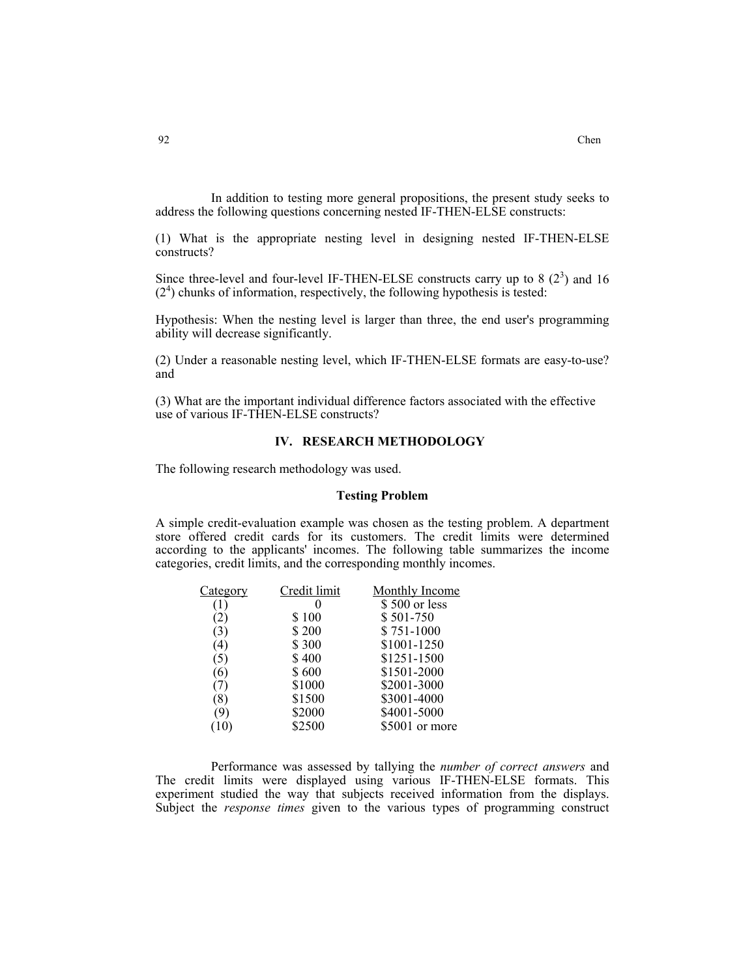In addition to testing more general propositions, the present study seeks to address the following questions concerning nested IF-THEN-ELSE constructs:

(1) What is the appropriate nesting level in designing nested IF-THEN-ELSE constructs?

Since three-level and four-level IF-THEN-ELSE constructs carry up to 8  $(2^3)$  and 16  $(2<sup>4</sup>)$  chunks of information, respectively, the following hypothesis is tested:

Hypothesis: When the nesting level is larger than three, the end user's programming ability will decrease significantly.

(2) Under a reasonable nesting level, which IF-THEN-ELSE formats are easy-to-use? and

(3) What are the important individual difference factors associated with the effective use of various IF-THEN-ELSE constructs?

## **IV. RESEARCH METHODOLOGY**

The following research methodology was used.

## **Testing Problem**

A simple credit-evaluation example was chosen as the testing problem. A department store offered credit cards for its customers. The credit limits were determined according to the applicants' incomes. The following table summarizes the income categories, credit limits, and the corresponding monthly incomes.

| Category | Credit limit | Monthly Income |
|----------|--------------|----------------|
|          |              | \$500 or less  |
| (2)      | \$100        | \$501-750      |
| (3)      | \$200        | \$751-1000     |
| $^{(4)}$ | \$300        | \$1001-1250    |
| (C)      | \$400        | \$1251-1500    |
| (6)      | \$600        | \$1501-2000    |
|          | \$1000       | \$2001-3000    |
| (8)      | \$1500       | \$3001-4000    |
| 9)       | \$2000       | \$4001-5000    |
| 10)      | \$2500       | \$5001 or more |

 Performance was assessed by tallying the *number of correct answers* and The credit limits were displayed using various IF-THEN-ELSE formats. This experiment studied the way that subjects received information from the displays. Subject the *response times* given to the various types of programming construct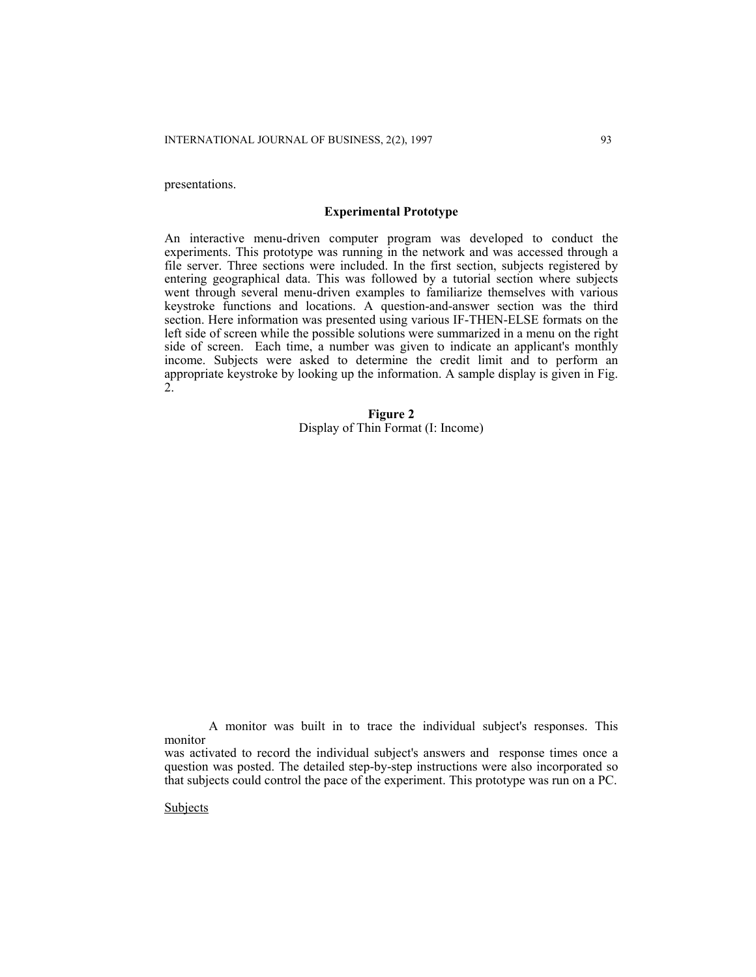presentations.

#### **Experimental Prototype**

An interactive menu-driven computer program was developed to conduct the experiments. This prototype was running in the network and was accessed through a file server. Three sections were included. In the first section, subjects registered by entering geographical data. This was followed by a tutorial section where subjects went through several menu-driven examples to familiarize themselves with various keystroke functions and locations. A question-and-answer section was the third section. Here information was presented using various IF-THEN-ELSE formats on the left side of screen while the possible solutions were summarized in a menu on the right side of screen. Each time, a number was given to indicate an applicant's monthly income. Subjects were asked to determine the credit limit and to perform an appropriate keystroke by looking up the information. A sample display is given in Fig.  $2^{1}$ 

> **Figure 2**  Display of Thin Format (I: Income)

 A monitor was built in to trace the individual subject's responses. This monitor

**Subjects** 

was activated to record the individual subject's answers and response times once a question was posted. The detailed step-by-step instructions were also incorporated so that subjects could control the pace of the experiment. This prototype was run on a PC.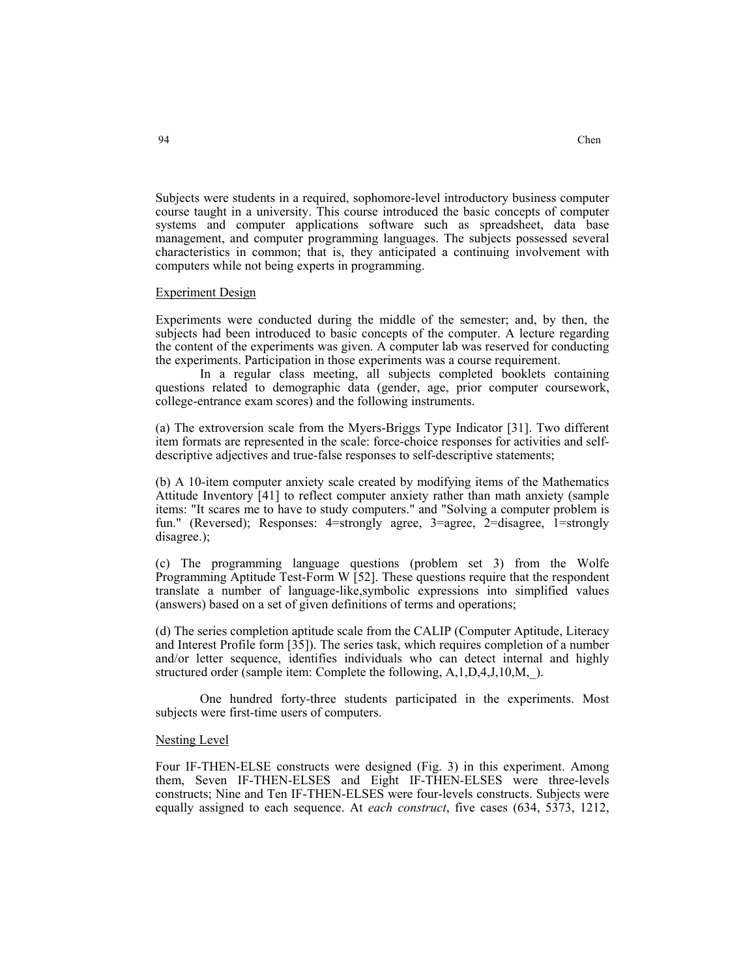Subjects were students in a required, sophomore-level introductory business computer course taught in a university. This course introduced the basic concepts of computer systems and computer applications software such as spreadsheet, data base management, and computer programming languages. The subjects possessed several characteristics in common; that is, they anticipated a continuing involvement with computers while not being experts in programming.

#### Experiment Design

Experiments were conducted during the middle of the semester; and, by then, the subjects had been introduced to basic concepts of the computer. A lecture regarding the content of the experiments was given. A computer lab was reserved for conducting the experiments. Participation in those experiments was a course requirement.

 In a regular class meeting, all subjects completed booklets containing questions related to demographic data (gender, age, prior computer coursework, college-entrance exam scores) and the following instruments.

(a) The extroversion scale from the Myers-Briggs Type Indicator [31]. Two different item formats are represented in the scale: force-choice responses for activities and selfdescriptive adjectives and true-false responses to self-descriptive statements;

(b) A 10-item computer anxiety scale created by modifying items of the Mathematics Attitude Inventory [41] to reflect computer anxiety rather than math anxiety (sample items: "It scares me to have to study computers." and "Solving a computer problem is fun." (Reversed); Responses: 4=strongly agree, 3=agree, 2=disagree, 1=strongly disagree.);

(c) The programming language questions (problem set 3) from the Wolfe Programming Aptitude Test-Form W [52]. These questions require that the respondent translate a number of language-like,symbolic expressions into simplified values (answers) based on a set of given definitions of terms and operations;

(d) The series completion aptitude scale from the CALIP (Computer Aptitude, Literacy and Interest Profile form [35]). The series task, which requires completion of a number and/or letter sequence, identifies individuals who can detect internal and highly structured order (sample item: Complete the following, A,1,D,4,J,10,M, ).

 One hundred forty-three students participated in the experiments. Most subjects were first-time users of computers.

#### Nesting Level

Four IF-THEN-ELSE constructs were designed (Fig. 3) in this experiment. Among them, Seven IF-THEN-ELSES and Eight IF-THEN-ELSES were three-levels constructs; Nine and Ten IF-THEN-ELSES were four-levels constructs. Subjects were equally assigned to each sequence. At *each construct*, five cases (634, 5373, 1212,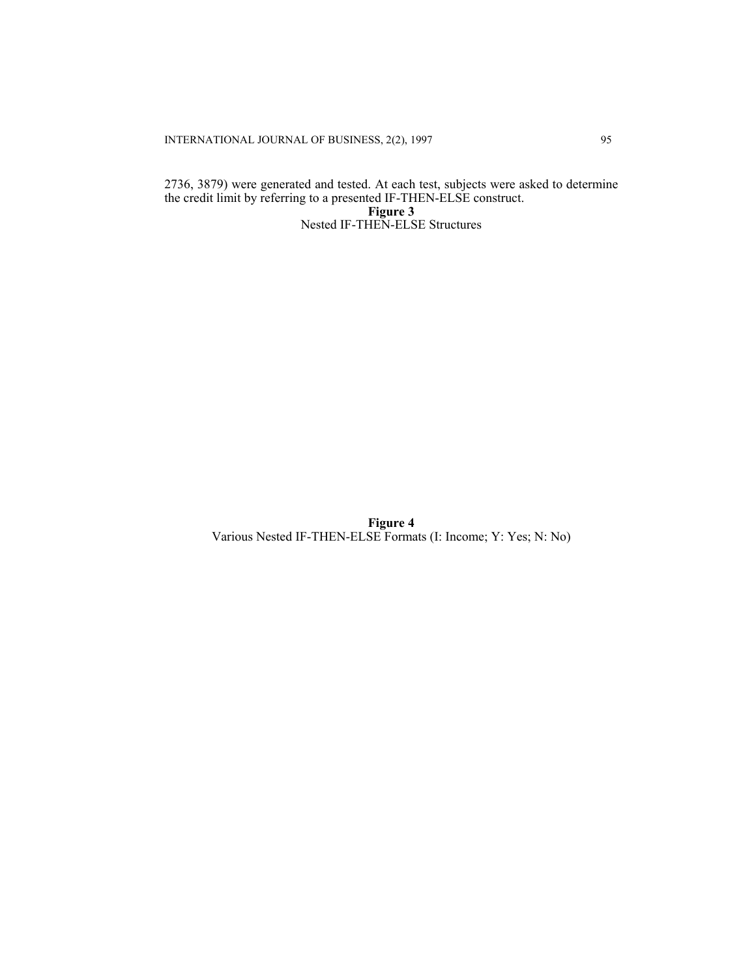INTERNATIONAL JOURNAL OF BUSINESS, 2(2), 1997 95

2736, 3879) were generated and tested. At each test, subjects were asked to determine the credit limit by referring to a presented IF-THEN-ELSE construct. **Figure 3**  Nested IF-THEN-ELSE Structures

> **Figure 4**  Various Nested IF-THEN-ELSE Formats (I: Income; Y: Yes; N: No)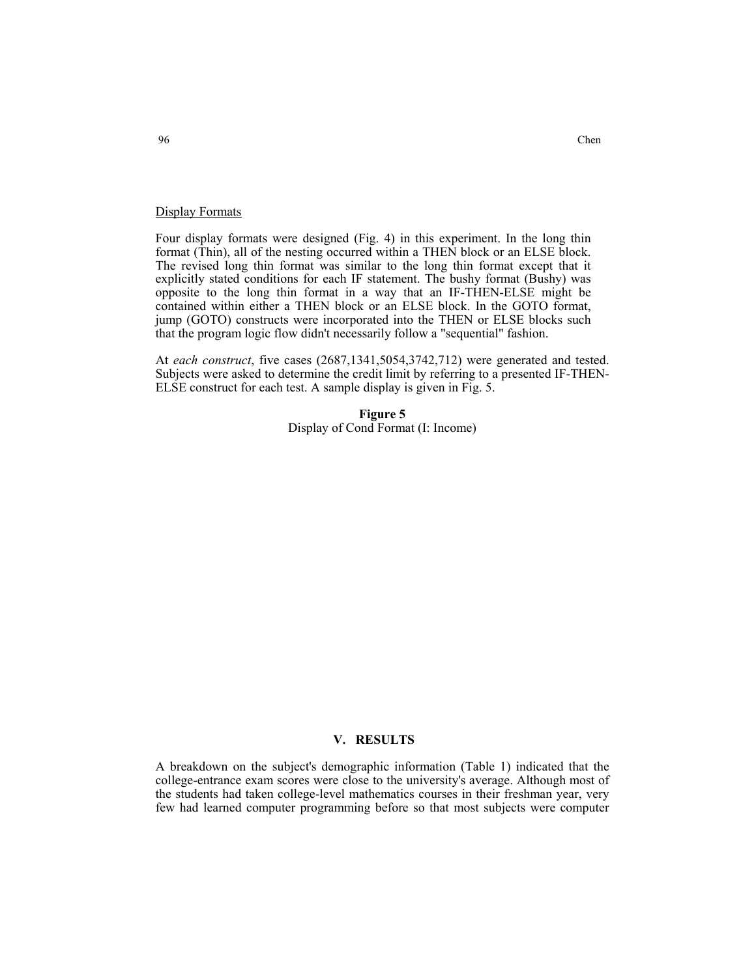#### Display Formats

Four display formats were designed (Fig. 4) in this experiment. In the long thin format (Thin), all of the nesting occurred within a THEN block or an ELSE block. The revised long thin format was similar to the long thin format except that it explicitly stated conditions for each IF statement. The bushy format (Bushy) was opposite to the long thin format in a way that an IF-THEN-ELSE might be contained within either a THEN block or an ELSE block. In the GOTO format, jump (GOTO) constructs were incorporated into the THEN or ELSE blocks such that the program logic flow didn't necessarily follow a "sequential" fashion.

At *each construct*, five cases (2687,1341,5054,3742,712) were generated and tested. Subjects were asked to determine the credit limit by referring to a presented IF-THEN-ELSE construct for each test. A sample display is given in Fig. 5.

> **Figure 5**  Display of Cond Format (I: Income)

## **V. RESULTS**

A breakdown on the subject's demographic information (Table 1) indicated that the college-entrance exam scores were close to the university's average. Although most of the students had taken college-level mathematics courses in their freshman year, very few had learned computer programming before so that most subjects were computer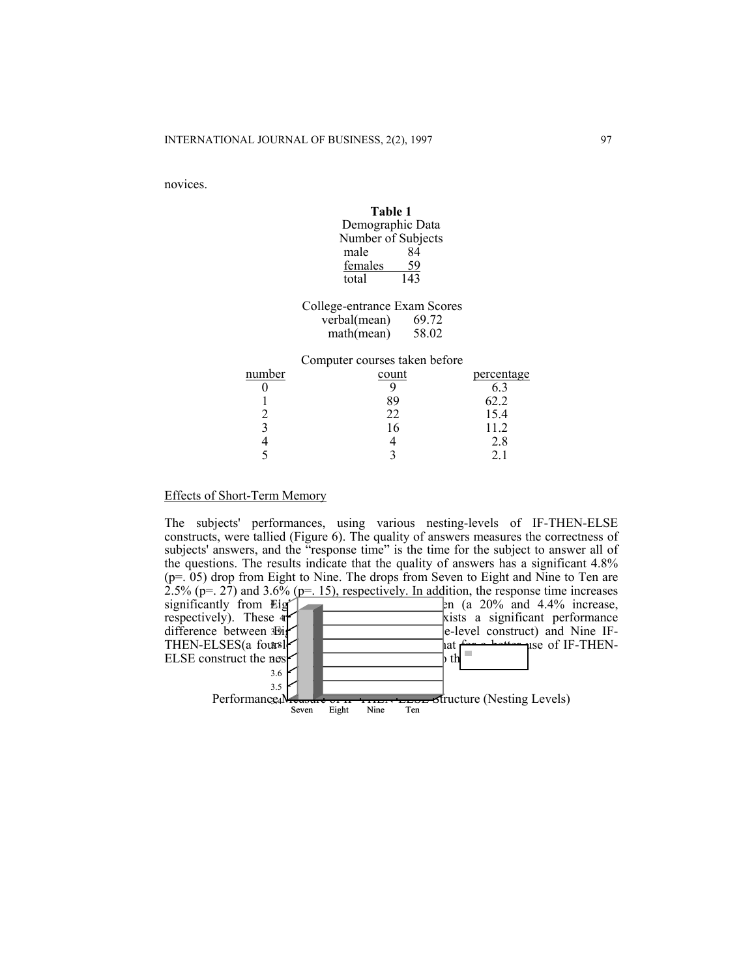novices.

|        | тане т                        |            |
|--------|-------------------------------|------------|
|        | Demographic Data              |            |
|        | Number of Subjects            |            |
|        | 84<br>male                    |            |
|        | 59<br>females                 |            |
|        | 143<br>total                  |            |
|        | College-entrance Exam Scores  |            |
|        | verbal(mean) $69.72$          |            |
|        | $mathmean)$ 58.02             |            |
|        | Computer courses taken before |            |
| number | count                         | percentage |
|        | 9                             | 6.3        |
|        | 89                            | 62.2       |
| 2      | 22                            | 15.4       |
| 3      | 16                            | 11.2       |
|        | 4                             | 2.8        |

5 3 2.1

**Table 1** 

## Effects of Short-Term Memory

The subjects' performances, using various nesting-levels of IF-THEN-ELSE constructs, were tallied (Figure 6). The quality of answers measures the correctness of subjects' answers, and the "response time" is the time for the subject to answer all of the questions. The results indicate that the quality of answers has a significant 4.8% (p=. 05) drop from Eight to Nine. The drops from Seven to Eight and Nine to Ten are  $2.5\%$  (p=. 27) and  $3.6\%$  (p=. 15), respectively. In addition, the response time increases  $\epsilon$ n (a 20% and 4.4% increase, kists a significant performance e-level construct) and Nine IF-THEN-ELSES(a four-level construct) and suggest that for a better use of IF-THEN-3.8 ELSE construct the nest  $\left| \begin{array}{c} \text{at } \\ \text{in } \\ \text{b } \end{array} \right|$ 4.05  $\log \left| \cdot \right|$  3.74  $\approx$  3.74  $\approx$  3.74  $\approx$  3.74  $\approx$  3.74  $\approx$  3.74  $\approx$  3.74  $\approx$  3.74  $\approx$  3.74  $\approx$  3.74  $\approx$  3.74  $\approx$  3.74  $\approx$  3.74  $\approx$  3.74  $\approx$  3.74  $\approx$  3.74  $\approx$  3.74  $\approx$  3.74  $\approx$  3.74  $\approx$  3.74  $\approx$  3.74  $\approx$ difference between 39i respectively). These 4 significantly from Eig' at for a hottor use of IF-THEN- $\flat$  th **Figure 6**  Performance Measure of IT-THER-BENCH Structure (Nesting Levels)<br>Seven Eight Nine Ten Eight 3.5 3.6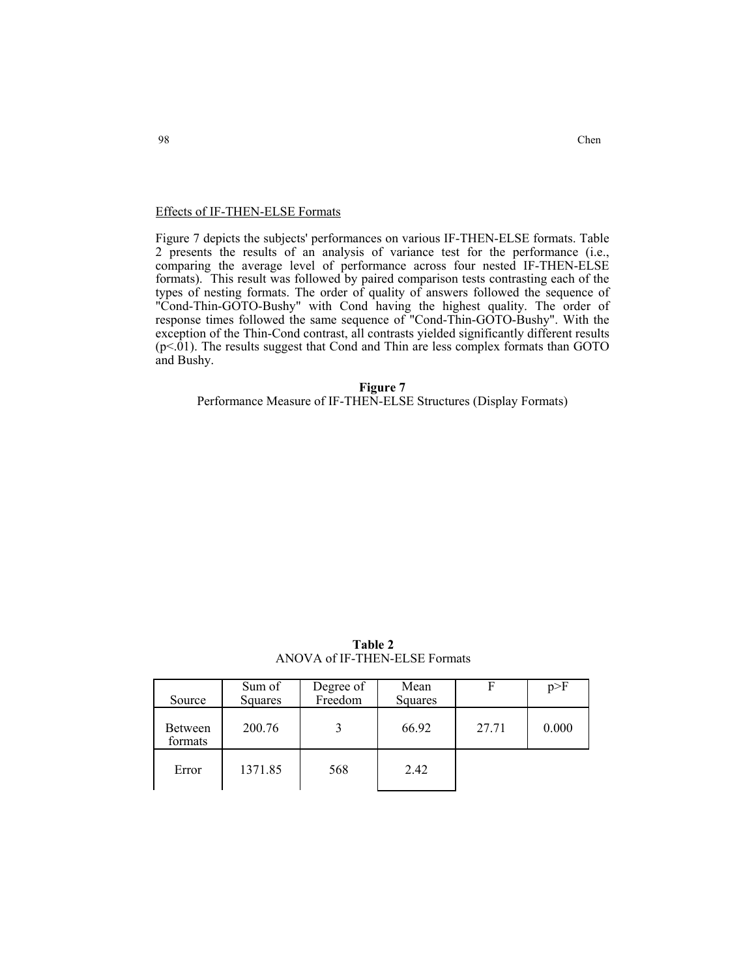## Effects of IF-THEN-ELSE Formats

Figure 7 depicts the subjects' performances on various IF-THEN-ELSE formats. Table 2 presents the results of an analysis of variance test for the performance (i.e., comparing the average level of performance across four nested IF-THEN-ELSE formats). This result was followed by paired comparison tests contrasting each of the types of nesting formats. The order of quality of answers followed the sequence of "Cond-Thin-GOTO-Bushy" with Cond having the highest quality. The order of response times followed the same sequence of "Cond-Thin-GOTO-Bushy". With the exception of the Thin-Cond contrast, all contrasts yielded significantly different results  $(p<.01)$ . The results suggest that Cond and Thin are less complex formats than GOTO and Bushy.

**Figure 7** 

Performance Measure of IF-THEN-ELSE Structures (Display Formats)

| Table 2                       |
|-------------------------------|
| ANOVA of IF-THEN-ELSE Formats |

| Source                    | Sum of<br>Squares | Degree of<br>Freedom | Mean<br>Squares | F     | p>F   |
|---------------------------|-------------------|----------------------|-----------------|-------|-------|
| <b>Between</b><br>formats | 200.76            |                      | 66.92           | 27.71 | 0.000 |
| Error                     | 1371.85           | 568                  | 2.42            |       |       |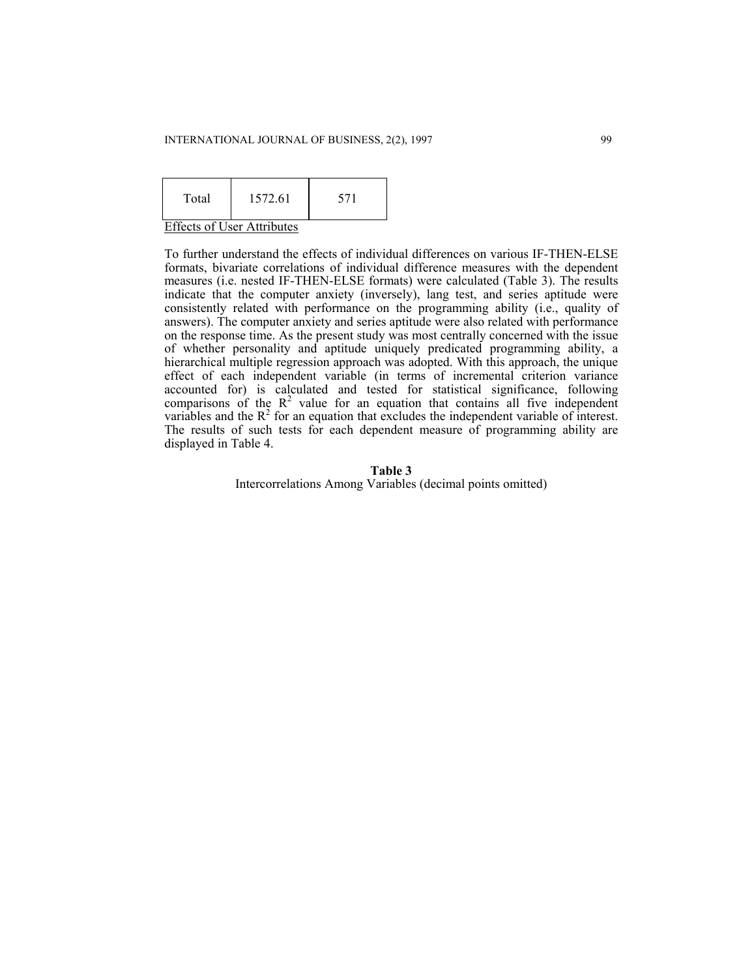#### INTERNATIONAL JOURNAL OF BUSINESS, 2(2), 1997 99

| Total | 1572.61 |  |
|-------|---------|--|
|-------|---------|--|

Effects of User Attributes

To further understand the effects of individual differences on various IF-THEN-ELSE formats, bivariate correlations of individual difference measures with the dependent measures (i.e. nested IF-THEN-ELSE formats) were calculated (Table 3). The results indicate that the computer anxiety (inversely), lang test, and series aptitude were consistently related with performance on the programming ability (i.e., quality of answers). The computer anxiety and series aptitude were also related with performance on the response time. As the present study was most centrally concerned with the issue of whether personality and aptitude uniquely predicated programming ability, a hierarchical multiple regression approach was adopted. With this approach, the unique effect of each independent variable (in terms of incremental criterion variance accounted for) is calculated and tested for statistical significance, following comparisons of the  $R^2$  value for an equation that contains all five independent variables and the  $R^2$  for an equation that excludes the independent variable of interest. The results of such tests for each dependent measure of programming ability are displayed in Table 4.

#### **Table 3**

Intercorrelations Among Variables (decimal points omitted)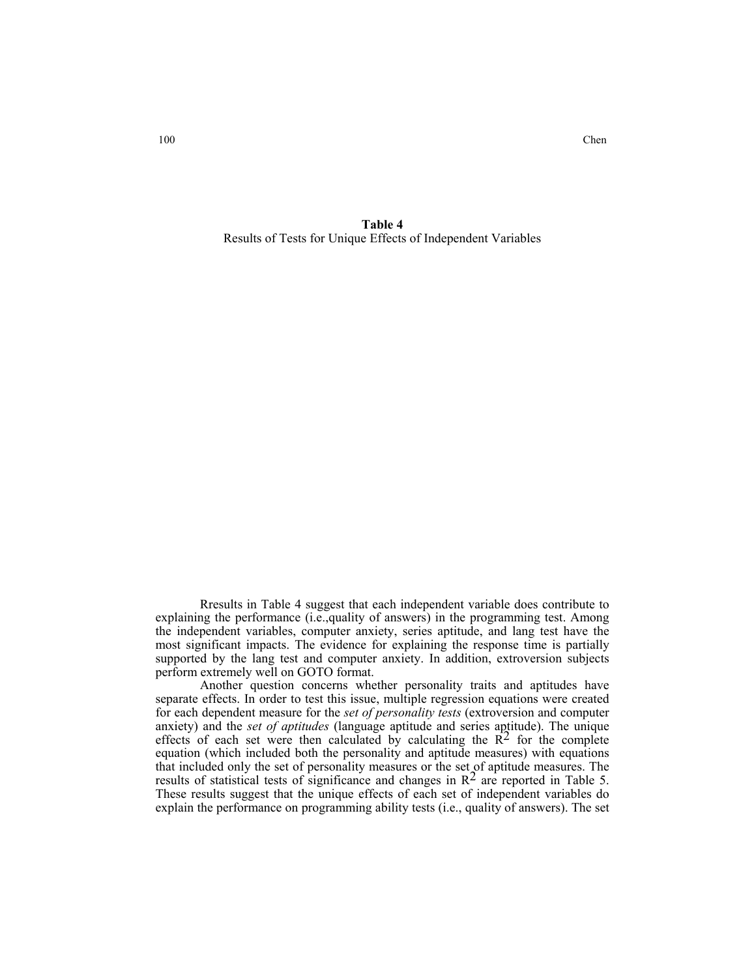100 Chen

**Table 4**  Results of Tests for Unique Effects of Independent Variables

 Rresults in Table 4 suggest that each independent variable does contribute to explaining the performance (i.e.,quality of answers) in the programming test. Among the independent variables, computer anxiety, series aptitude, and lang test have the most significant impacts. The evidence for explaining the response time is partially supported by the lang test and computer anxiety. In addition, extroversion subjects perform extremely well on GOTO format.

 Another question concerns whether personality traits and aptitudes have separate effects. In order to test this issue, multiple regression equations were created for each dependent measure for the *set of personality tests* (extroversion and computer anxiety) and the *set of aptitudes* (language aptitude and series aptitude). The unique effects of each set were then calculated by calculating the  $R<sup>2</sup>$  for the complete equation (which included both the personality and aptitude measures) with equations that included only the set of personality measures or the set of aptitude measures. The results of statistical tests of significance and changes in  $\mathbb{R}^2$  are reported in Table 5. These results suggest that the unique effects of each set of independent variables do explain the performance on programming ability tests (i.e., quality of answers). The set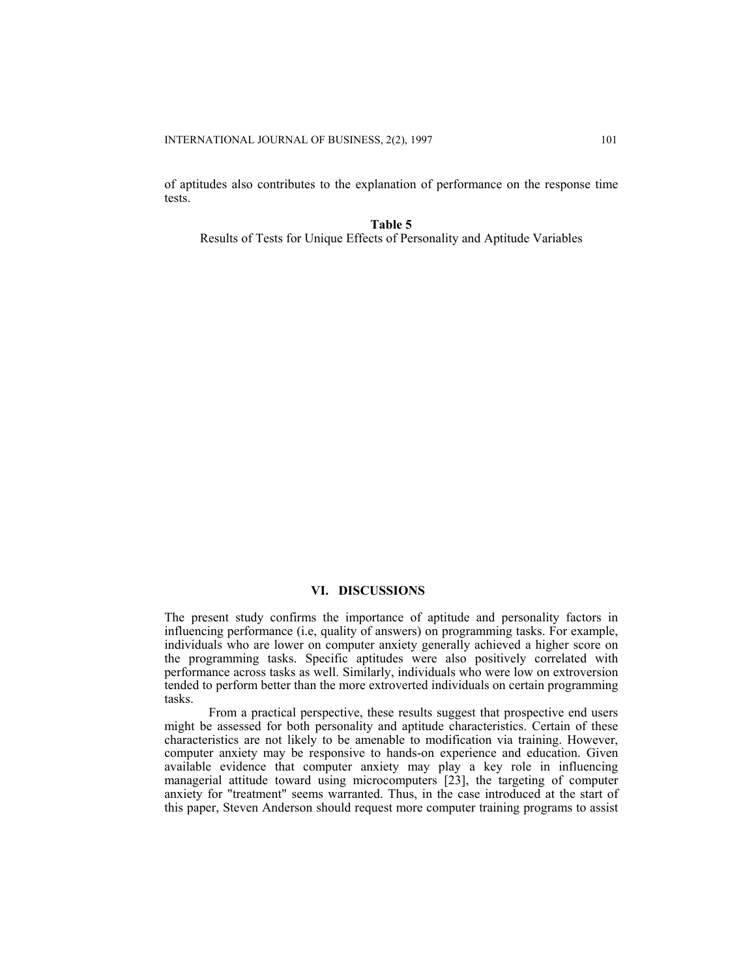of aptitudes also contributes to the explanation of performance on the response time tests.

**Table 5**  Results of Tests for Unique Effects of Personality and Aptitude Variables

## **VI. DISCUSSIONS**

The present study confirms the importance of aptitude and personality factors in influencing performance (i.e, quality of answers) on programming tasks. For example, individuals who are lower on computer anxiety generally achieved a higher score on the programming tasks. Specific aptitudes were also positively correlated with performance across tasks as well. Similarly, individuals who were low on extroversion tended to perform better than the more extroverted individuals on certain programming tasks.

 From a practical perspective, these results suggest that prospective end users might be assessed for both personality and aptitude characteristics. Certain of these characteristics are not likely to be amenable to modification via training. However, computer anxiety may be responsive to hands-on experience and education. Given available evidence that computer anxiety may play a key role in influencing managerial attitude toward using microcomputers [23], the targeting of computer anxiety for "treatment" seems warranted. Thus, in the case introduced at the start of this paper, Steven Anderson should request more computer training programs to assist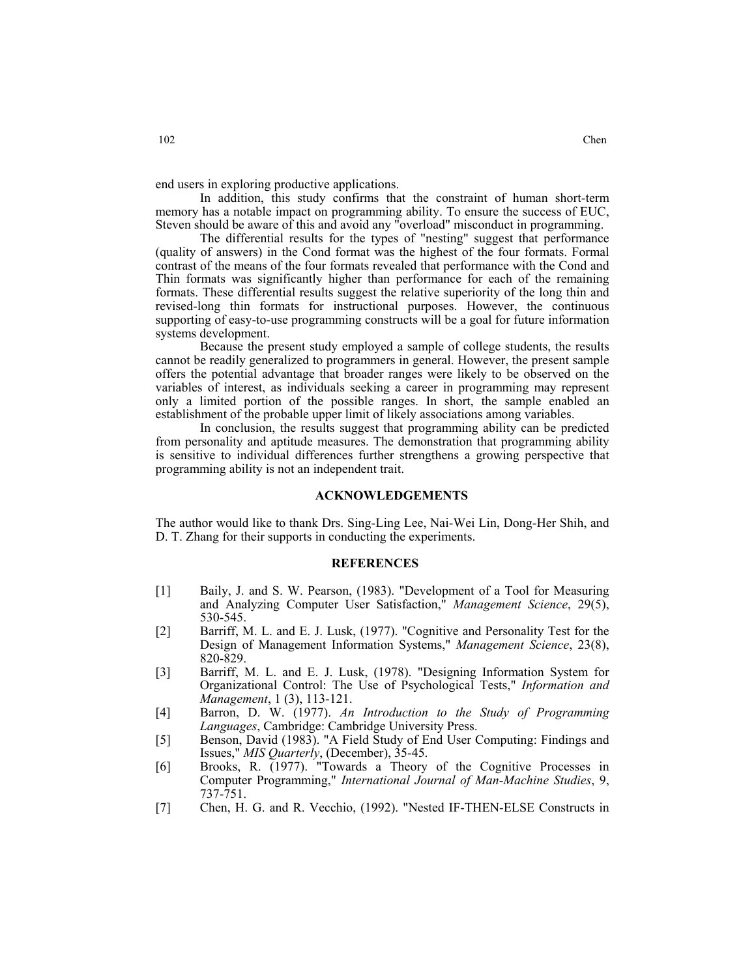end users in exploring productive applications.

 In addition, this study confirms that the constraint of human short-term memory has a notable impact on programming ability. To ensure the success of EUC, Steven should be aware of this and avoid any "overload" misconduct in programming.

 The differential results for the types of "nesting" suggest that performance (quality of answers) in the Cond format was the highest of the four formats. Formal contrast of the means of the four formats revealed that performance with the Cond and Thin formats was significantly higher than performance for each of the remaining formats. These differential results suggest the relative superiority of the long thin and revised-long thin formats for instructional purposes. However, the continuous supporting of easy-to-use programming constructs will be a goal for future information systems development.

 Because the present study employed a sample of college students, the results cannot be readily generalized to programmers in general. However, the present sample offers the potential advantage that broader ranges were likely to be observed on the variables of interest, as individuals seeking a career in programming may represent only a limited portion of the possible ranges. In short, the sample enabled an establishment of the probable upper limit of likely associations among variables.

 In conclusion, the results suggest that programming ability can be predicted from personality and aptitude measures. The demonstration that programming ability is sensitive to individual differences further strengthens a growing perspective that programming ability is not an independent trait.

#### **ACKNOWLEDGEMENTS**

The author would like to thank Drs. Sing-Ling Lee, Nai-Wei Lin, Dong-Her Shih, and D. T. Zhang for their supports in conducting the experiments.

## **REFERENCES**

- [1] Baily, J. and S. W. Pearson, (1983). "Development of a Tool for Measuring and Analyzing Computer User Satisfaction," *Management Science*, 29(5), 530-545.
- [2] Barriff, M. L. and E. J. Lusk, (1977). "Cognitive and Personality Test for the Design of Management Information Systems," *Management Science*, 23(8), 820-829.
- [3] Barriff, M. L. and E. J. Lusk, (1978). "Designing Information System for Organizational Control: The Use of Psychological Tests," *Information and Management*, 1 (3), 113-121.
- [4] Barron, D. W. (1977). *An Introduction to the Study of Programming Languages*, Cambridge: Cambridge University Press.
- [5] Benson, David (1983). "A Field Study of End User Computing: Findings and Issues," *MIS Quarterly*, (December), 35-45.
- [6] Brooks, R. (1977). "Towards a Theory of the Cognitive Processes in Computer Programming," *International Journal of Man-Machine Studies*, 9, 737-751.
- [7] Chen, H. G. and R. Vecchio, (1992). "Nested IF-THEN-ELSE Constructs in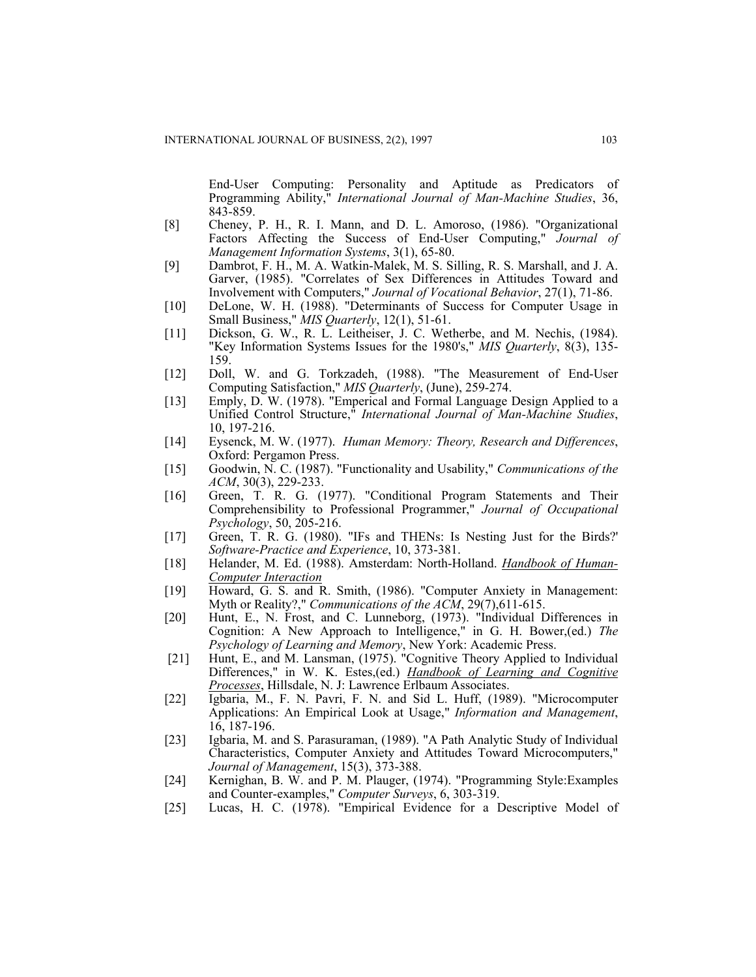End-User Computing: Personality and Aptitude as Predicators of Programming Ability," *International Journal of Man-Machine Studies*, 36, 843-859.

- [8] Cheney, P. H., R. I. Mann, and D. L. Amoroso, (1986). "Organizational Factors Affecting the Success of End-User Computing," *Journal of Management Information Systems*, 3(1), 65-80.
- [9] Dambrot, F. H., M. A. Watkin-Malek, M. S. Silling, R. S. Marshall, and J. A. Garver, (1985). "Correlates of Sex Differences in Attitudes Toward and Involvement with Computers," *Journal of Vocational Behavior*, 27(1), 71-86.
- [10] DeLone, W. H. (1988). "Determinants of Success for Computer Usage in Small Business," *MIS Quarterly*, 12(1), 51-61.
- [11] Dickson, G. W., R. L. Leitheiser, J. C. Wetherbe, and M. Nechis, (1984). "Key Information Systems Issues for the 1980's," *MIS Quarterly*, 8(3), 135- 159.
- [12] Doll, W. and G. Torkzadeh, (1988). "The Measurement of End-User Computing Satisfaction," *MIS Quarterly*, (June), 259-274.
- [13] Emply, D. W. (1978). "Emperical and Formal Language Design Applied to a Unified Control Structure," *International Journal of Man-Machine Studies*, 10, 197-216.
- [14] Eysenck, M. W. (1977). *Human Memory: Theory, Research and Differences*, Oxford: Pergamon Press.
- [15] Goodwin, N. C. (1987). "Functionality and Usability," *Communications of the ACM*, 30(3), 229-233.
- [16] Green, T. R. G. (1977). "Conditional Program Statements and Their Comprehensibility to Professional Programmer," *Journal of Occupational Psychology*, 50, 205-216.
- [17] Green, T. R. G. (1980). "IFs and THENs: Is Nesting Just for the Birds?" *Software-Practice and Experience*, 10, 373-381.
- [18] Helander, M. Ed. (1988). Amsterdam: North-Holland. *Handbook of Human-Computer Interaction*
- [19] Howard, G. S. and R. Smith, (1986). "Computer Anxiety in Management: Myth or Reality?," *Communications of the ACM*, 29(7),611-615.
- [20] Hunt, E., N. Frost, and C. Lunneborg, (1973). "Individual Differences in Cognition: A New Approach to Intelligence," in G. H. Bower,(ed.) *The Psychology of Learning and Memory*, New York: Academic Press.
- [21] Hunt, E., and M. Lansman, (1975). "Cognitive Theory Applied to Individual Differences," in W. K. Estes,(ed.) *Handbook of Learning and Cognitive Processes*, Hillsdale, N. J: Lawrence Erlbaum Associates.
- [22] Igbaria, M., F. N. Pavri, F. N. and Sid L. Huff, (1989). "Microcomputer Applications: An Empirical Look at Usage," *Information and Management*, 16, 187-196.
- [23] Igbaria, M. and S. Parasuraman, (1989). "A Path Analytic Study of Individual Characteristics, Computer Anxiety and Attitudes Toward Microcomputers," *Journal of Management*, 15(3), 373-388.
- [24] Kernighan, B. W. and P. M. Plauger, (1974). "Programming Style:Examples and Counter-examples," *Computer Surveys*, 6, 303-319.
- [25] Lucas, H. C. (1978). "Empirical Evidence for a Descriptive Model of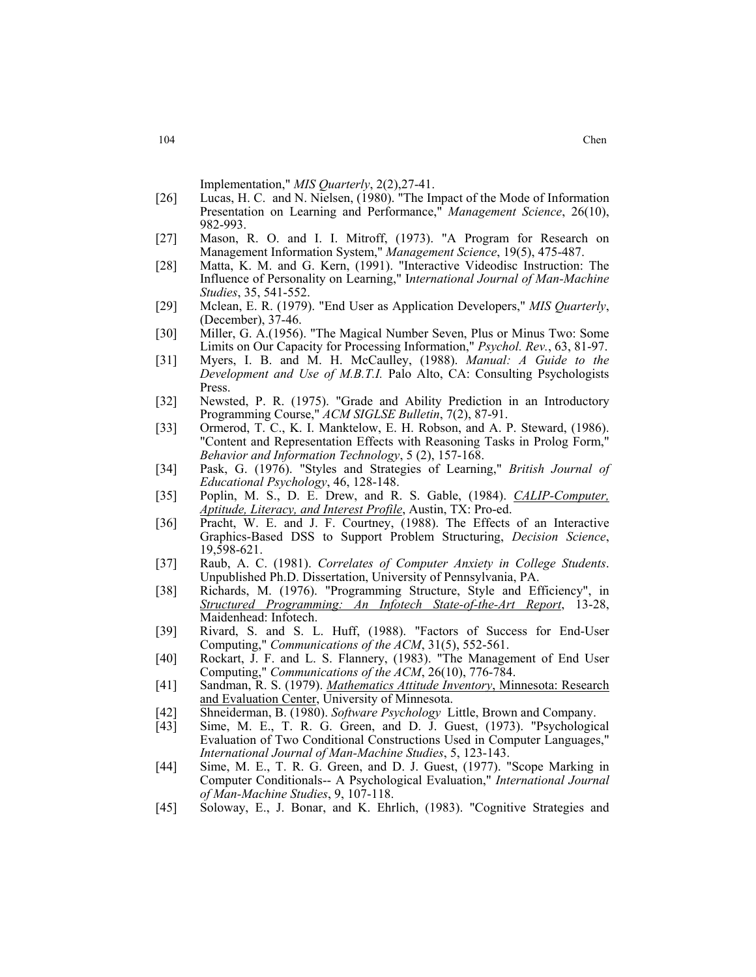Implementation," *MIS Quarterly*, 2(2),27-41.

- [26] Lucas, H. C. and N. Nielsen, (1980). "The Impact of the Mode of Information Presentation on Learning and Performance," *Management Science*, 26(10), 982-993.
- [27] Mason, R. O. and I. I. Mitroff, (1973). "A Program for Research on Management Information System," *Management Science*, 19(5), 475-487.
- [28] Matta, K. M. and G. Kern, (1991). "Interactive Videodisc Instruction: The Influence of Personality on Learning," I*nternational Journal of Man-Machine Studies*, 35, 541-552.
- [29] Mclean, E. R. (1979). "End User as Application Developers," *MIS Quarterly*, (December), 37-46.
- [30] Miller, G. A.(1956). "The Magical Number Seven, Plus or Minus Two: Some Limits on Our Capacity for Processing Information," *Psychol. Rev.*, 63, 81-97.
- [31] Myers, I. B. and M. H. McCaulley, (1988). *Manual: A Guide to the Development and Use of M.B.T.I.* Palo Alto, CA: Consulting Psychologists Press.
- [32] Newsted, P. R. (1975). "Grade and Ability Prediction in an Introductory Programming Course," *ACM SIGLSE Bulletin*, 7(2), 87-91.
- [33] Ormerod, T. C., K. I. Manktelow, E. H. Robson, and A. P. Steward, (1986). "Content and Representation Effects with Reasoning Tasks in Prolog Form," *Behavior and Information Technology*, 5 (2), 157-168.
- [34] Pask, G. (1976). "Styles and Strategies of Learning," *British Journal of Educational Psychology*, 46, 128-148.
- [35] Poplin, M. S., D. E. Drew, and R. S. Gable, (1984). *CALIP-Computer, Aptitude, Literacy, and Interest Profile*, Austin, TX: Pro-ed.
- [36] Pracht, W. E. and J. F. Courtney, (1988). The Effects of an Interactive Graphics-Based DSS to Support Problem Structuring, *Decision Science*, 19,598-621.
- [37] Raub, A. C. (1981). *Correlates of Computer Anxiety in College Students*. Unpublished Ph.D. Dissertation, University of Pennsylvania, PA.
- [38] Richards, M. (1976). "Programming Structure, Style and Efficiency", in *Structured Programming: An Infotech State-of-the-Art Report*, 13-28, Maidenhead: Infotech.
- [39] Rivard, S. and S. L. Huff, (1988). "Factors of Success for End-User Computing," *Communications of the ACM*, 31(5), 552-561.
- [40] Rockart, J. F. and L. S. Flannery, (1983). "The Management of End User Computing," *Communications of the ACM*, 26(10), 776-784.
- [41] Sandman, R. S. (1979). *Mathematics Attitude Inventory*, Minnesota: Research and Evaluation Center, University of Minnesota.
- [42] Shneiderman, B. (1980). *Software Psychology* Little, Brown and Company.
- Sime, M. E., T. R. G. Green, and D. J. Guest, (1973). "Psychological Evaluation of Two Conditional Constructions Used in Computer Languages," *International Journal of Man-Machine Studies*, 5, 123-143.
- [44] Sime, M. E., T. R. G. Green, and D. J. Guest, (1977). "Scope Marking in Computer Conditionals-- A Psychological Evaluation," *International Journal of Man-Machine Studies*, 9, 107-118.
- [45] Soloway, E., J. Bonar, and K. Ehrlich, (1983). "Cognitive Strategies and